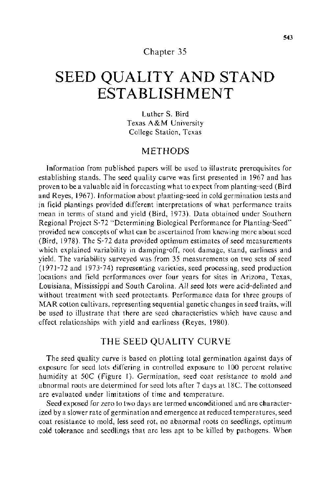## Chapter 35

# **SEED QUALITY AND STAND ESTABLISHMENT**

Luther S. Bird Texas A&M University College Station, Texas

## METHODS

Information from published papers will be used to illustrate prerequisites for establishing stands. The seed quality curve was first presented in 1967 and has proven to be a valuable aid in forecasting what to expect from planting-seed (Bird and Reyes, 1967). Information about planting-seed in cold germination tests and in field plantings provided different interpretations of what performance traits mean in terms of stand and yield (Bird, 1973). Data obtained under Southern Regional Project S-72 "Determining Biological Performance for Planting-Seed'' provided new concepts of what can be ascertained from knowing more about seed (Bird, 1978). The S-72 data provided optimum estimates of seed measurements which explained variability in damping-off, root damage, stand, earliness and yield. The variability surveyed was from 35 measurements on two sets of seed (1971-72 and 1973-74) representing varieties, seed processing, seed production locations and field performances over four years for sites in Arizona, Texas, Louisiana, Mississippi and South Carolina. All seed lots were acid-delinted and without treatment with seed protectants. Performance data for three groups of MAR cotton cultivars, representing sequential genetic changes in seed traits, will be used to illustrate that there are seed characteristics which have cause and effect relationships with yield and earliness (Reyes, 1980).

## THE SEED QUALITY CURVE

The seed quality curve is based on plotting total germination against days of exposure for seed lots differing in controlled exposure to 100 percent relative humidity at SOC (Figure I). Germination, seed coat resistance to mold and abnormal roots are determined for seed lots after 7 days at 18C. The cottonseed are evaluated under limitations of time and temperature.

Seed exposed for zero to two days are termed unconditioned and are characterized by a slower rate of germination and emergence at reduced temperatures, seed coat resistance to mold, less seed rot, no abnormal roots on seedlings, optimum cold tolerance and seedlings that are less apt to be killed by pathogens. When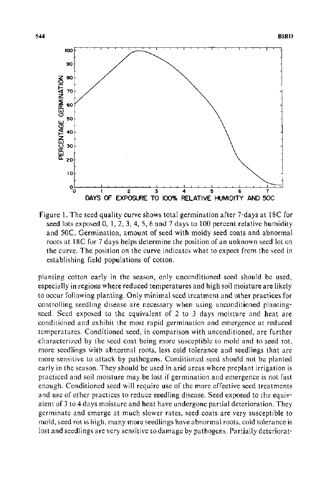

Figure 1. The seed quality curve shows total germination after 7-days at 18C for seed lots exposed 0, 1, 2, 3, 4, 5, 6 and 7 days to 100 percent relative humidity and SOC. Germination, amount of seed with moldy seed coats and abnormal roots at 18C for 7 days helps determine the position of an unknown seed lot on the curve. The position on the curve indicates what to expect from the seed in establishing field populations of cotton.

planting cotton early in the season, only unconditioned seed should be used, especially in regions where reduced temperatures and high soil moisture are likely to occur following planting. Only minimal seed treatment and other practices for controlling seedling disease are necessary when using unconditioned plantingseed. Seed exposed to the equivalent of 2 to 3 days moisture and heat are conditioned and exhibit the most rapid germination and emergence at reduced temperatures. Conditioned seed, in comparison with unconditioned, are further characterized by the seed coat being more susceptible to mold and to seed rot, more seedlings with abnormal roots, less cold tolerance and seedlings that are more sensitive to attack by pathogens. Conditioned seed should not be planted early in the season. They should be used in arid areas where preplant irrigation is practiced and soil moisture may be lost if germination and emergence is not fast enough. Conditioned seed will require use of the more effective seed treatments and use of other practices to reduce seedling disease. Seed exposed to the equivalent of 3 to 4 days moisture and heat have undergone partial deterioration. They germinate and emerge at much slower rates, seed coats are very susceptible to mold, seed rot is high, many more seedlings have abnormal roots, cold tolerance is lost and seedlings are very sensitive to damage by pathogens. Partially deteriorat-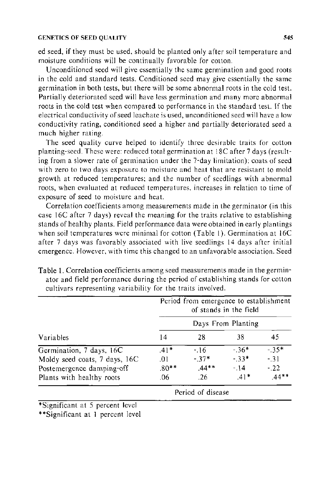#### GENETICS OF SEED QUALITY *545*

ed seed, if they must be used, should be planted only after soil temperature and moisture conditions will be continually favorable for cotton.

Unconditioned seed will give essentially the same germination and good roots in the cold and standard tests. Conditioned seed may give essentially the same germination in both tests, but there will be some abnormal roots in the cold test. Partially deteriorated seed will have less germination and many more abnormal roots in the cold test when compared to performance in the standard test. If the electrical conductivity of seed leachate is used, unconditioned seed will have a low conductivity rating, conditioned seed a higher and partially deteriorated seed a much higher rating.

The seed quality curve helped to identify three desirable traits for cotton planting-seed. These were: reduced total germination at 18C after 7 days (resulting from a slower rate of germination under the 7-day limitation); coats of seed with zero to two days exposure to moisture and heat that are resistant to mold growth at reduced temperatures: and the number of seedlings with abnormal roots, when evaluated at reduced temperatures. increases in relation to time of exposure of seed to moisture and heat.

Correlation coefficients among measurements made in the germinator (in this case 16C after 7 days) reveal the meaning for the traits relative to establishing stands of healthy plants. Field performance data were obtained in early plantings when soil temperatures were minimal for cotton (Table 1). Germination at 16C after 7 days was favorably associated with live seedlings 14 days after initial emergence. However, with time this changed to an unfavorable association. Seed

| Variables                     | Period from emergence to establishment<br>of stands in the field<br>Days From Planting |                   |        |                |        |  |  |
|-------------------------------|----------------------------------------------------------------------------------------|-------------------|--------|----------------|--------|--|--|
|                               |                                                                                        |                   |        |                |        |  |  |
|                               | Germination, 7 days, 16C                                                               | $.41*$            | $-16$  | $-36*$         | $-35*$ |  |  |
| Moldy seed coats, 7 days, 16C | .01                                                                                    | $-37*$<br>$44***$ | $-33*$ | $-31$<br>$-22$ |        |  |  |
| Postemergence damping-off     | $.80**$                                                                                |                   | $-14$  |                |        |  |  |
| Plants with healthy roots     | .06                                                                                    | .26               | $.41*$ | $.44**$        |        |  |  |
|                               | Period of disease                                                                      |                   |        |                |        |  |  |

Table 1. Correlation coefficients among seed measurements made in the germinator and field performance during the period of establishing stands for cotton cultivars representing variability for the traits involved.

\*Significant at 5 percent level

\*\*Significant at I percent level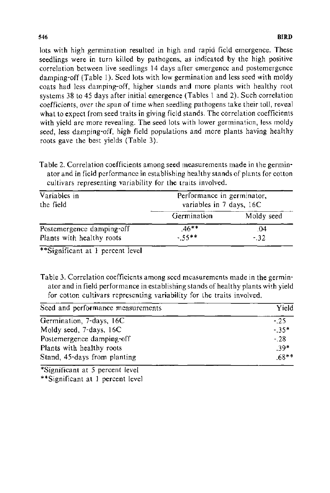lots with high germination resulted in high and rapid field emergence. These seedlings were in turn killed by pathogens, as indicated by the high positive correlation between live seedlings 14 days after emergence and postemergence damping-off (Table 1). Seed lots with low germination and less seed with moldy coats had less damping-off, higher stands and more plants with healthy root systems 38 to 45 days after initial emergence (Tables 1 and 2). Such correlation coefficients, over the span of time when seedling pathogens take their toll, reveal what to expect from seed traits in giving field stands. The correlation coefficients with yield are more revealing. The seed lots with lower germination, less moldy seed, less damping-off, high field populations and more plants having healthy roots gave the best yields (Table 3).

Table 2. Correlation coefficients among seed measurements made in the germinator and in field performance in establishing healthy stands of plants for cotton cultivars representing variability for the traits involved.

| Variables in<br>the field                              | Performance in germinator,<br>variables in 7 days, 16C |              |  |  |  |  |
|--------------------------------------------------------|--------------------------------------------------------|--------------|--|--|--|--|
|                                                        | Germination                                            | Moldy seed   |  |  |  |  |
| Postemergence damping-off<br>Plants with healthy roots | $46***$<br>$-55***$                                    | .04<br>$-32$ |  |  |  |  |

\*\*Significant at **1** percent level

Table 3. Correlation coefficients among seed measurements made in the germinator and in field performance in establishing stands of healthy plants with yield for cotton cultivars representing variability for the traits involved.

| Seed and performance measurements | Yield   |  |  |
|-----------------------------------|---------|--|--|
| Germination, 7-days, 16C          | $-25$   |  |  |
| Moldy seed, 7-days, 16C           | $-35*$  |  |  |
| Postemergence damping-off         | $-.28$  |  |  |
| Plants with healthy roots         | $.39*$  |  |  |
| Stand, 45-days from planting      | $.68**$ |  |  |

\*Significant at 5 percent level

\*\*Significant at 1 percent level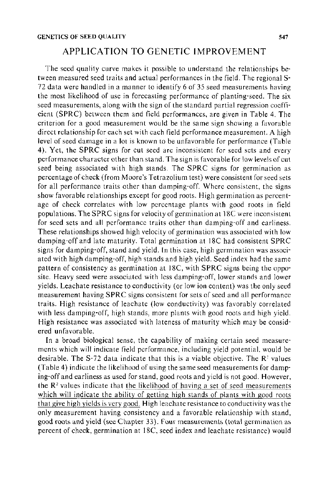## APPLICATION TO GENETIC IMPROVEMENT

The seed quality curve makes it possible to understand the relationships between measured seed traits and actual performances in the field. The regional S-72 data were handled in a manner to identify 6 of 35 seed measurements having the most likelihood of use in forecasting performance of planting-seed. The six seed measurements, along with the sign of the standard partial regression coefficient (SPRC) between them and field performances, are given in Table 4. The criterion for a good measurement would be the same sign showing a favorable direct relationship for each set with each field performance measurement. A high level of seed damage in a lot is known to be unfavorable for performance (Table 4). Yet, the SPRC signs for cut seed are inconsistent for seed sets and every performance character other than stand. The sign is favorable for low levels of cut seed being associated with high stands. The SPRC signs for germination as percentage of check (from Moore's Tetrazolium test) were consistent for seed sets for all performance traits other than damping-off. Where consistent, the signs show favorable relationships except for good roots. High germination as percentage of check correlates with low percentage plants with good roots in field populations. The SPRC signs for velocity of germination at 18C were inconsistent for seed sets and all performance traits other than damping-off and earliness. These relationships showed high velocity of germination was associated with low damping-off and late maturity. Total germination at 18C had consistent SPRC signs for damping-off, stand and yield. In this case, high germination was associated with high damping-off, high stands and high yield. Seed index had the same pattern of consistency as germination at 18C, with SPRC signs being the opposite. Heavy seed were associated with less damping-off, lower stands and lower yields. Leachate resistance to conductivity (or low ion content) was the only seed measurement having SPRC signs consistent for sets of seed and all performance traits. High resistance of leachate (low conductivity) was favorably correlated with less damping-off, high stands, more plants with good roots and high yield. High resistance was associated with lateness of maturity which may be considered unfavorable.

In a broad biological sense, the capability of making certain seed measurements which will indicate field performance, including yield potential. would be desirable. The S-72 data indicate that this is a viable objective. The  $R<sup>2</sup>$  values (Table 4) indicate the likelihood of using the same seed measurements for damping-off and earliness as used for stand, good roots and yield is not good. However, the  $R<sup>2</sup>$  values indicate that the likelihood of having a set of seed measurements which will indicate the ability of getting high stands of plants with good roots that give high yields is very good. High leachate resistance to conductivity was the only measurement having consistency and a favorable relationship with stand, good roots and yield (see Chapter 33). Four measurements (total germination as percent of check, germination at 18C, seed index and leachate resistance) would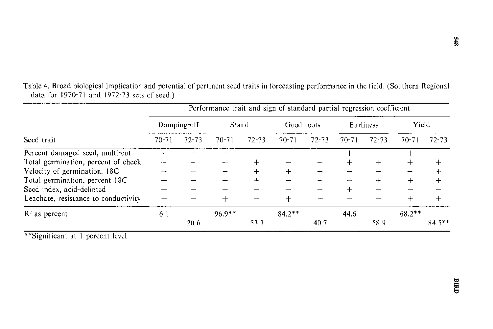| Seed trait                           |             | Performance trait and sign of standard partial regression coefficient |           |           |            |           |           |           |           |           |
|--------------------------------------|-------------|-----------------------------------------------------------------------|-----------|-----------|------------|-----------|-----------|-----------|-----------|-----------|
|                                      | Damping-off |                                                                       | Stand     |           | Good roots |           | Earliness |           | Yield     |           |
|                                      | $70 - 71$   | $72 - 73$                                                             | $70 - 71$ | $72 - 73$ | $70 - 71$  | $72 - 73$ | $70-71$   | $72 - 73$ | $70 - 71$ | 72-73     |
| Percent damaged seed, multi-cut      |             |                                                                       |           |           |            |           |           |           |           |           |
| Total germination, percent of check  | $+$         |                                                                       |           |           |            |           |           |           |           |           |
| Velocity of germination, 18C         |             |                                                                       |           |           | ┿          |           |           |           |           |           |
| Total germination, percent 18C       |             |                                                                       |           |           |            |           |           |           |           |           |
| Seed index, acid-delinted            |             |                                                                       |           |           |            |           |           |           |           |           |
| Leachate, resistance to conductivity |             |                                                                       |           |           |            |           |           |           |           |           |
| $R2$ as percent                      | 6.1         |                                                                       | $96.9**$  |           | $84.2**$   |           | 44.6      |           | $68.2***$ |           |
|                                      |             | 20.6                                                                  |           | 53.3      |            | 40.7      |           | 58.9      |           | $84.5***$ |

Table 4. Broad biological implication and potential of pertinent seed traits in forecasting performance in the **field.** (Southern Regional data for 1970-71 and 1972-73 sets of seed.)

\*\*Significant at 1 percent level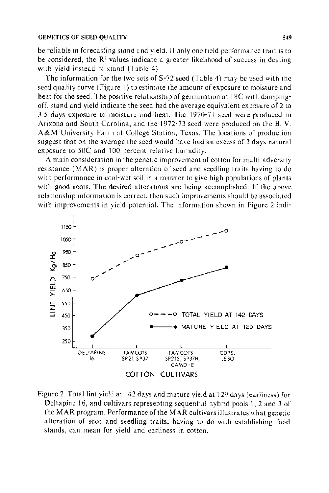#### GENETICS OF SEED OUALITY 549

be reliable in forecasting stand and yield. If only one field performance trait is to be considered, the  $\mathbb{R}^2$  values indicate a greater likelihood of success in dealing with yield instead of stand (Table 4).

The information for the two sets of S-72 seed (Table 4) may be used with the seed quality curve (Figure I) to estimate the amount of exposure to moisture and heat for the seed. The positive relationship of germination at 18C with dampingoff, stand and yield indicate the seed had the average equivalent exposure of 2 to 3.5 days exposure to moisture and heat. The 1970-71 seed were produced in Arizona and South Carolina, and the 1972-73 seed were produced on the B. V. A&M University Farm at College Station, Texas. The locations of production suggest that on the average the seed would have had an excess of 2 days natural exposure to *SOC* and 100 percent relative humidity.

A main consideration in the genetic improvement of cotton for multi-adversity resistance (MAR) is proper alteration of seed and seedling traits having to do with performance in cool-wet soil in a manner to give high populations of plants with good roots. The desired alterations are being accomplished. If the above relationship information is correct, then such improvements should be associated with improvements in yield potential. The information shown in Figure 2 indi-



Figure 2. Total lint yield at 142 days and mature yield at 129 days (earliness) for Deltapine 16, and cultivars representing sequential hybrid pools 1, 2 and 3 of the MAR program. Performance of the MAR cultivars illustrates what genetic alteration of seed and seedling traits, having to do with establishing field stands, can mean for yield and earliness in cotton.